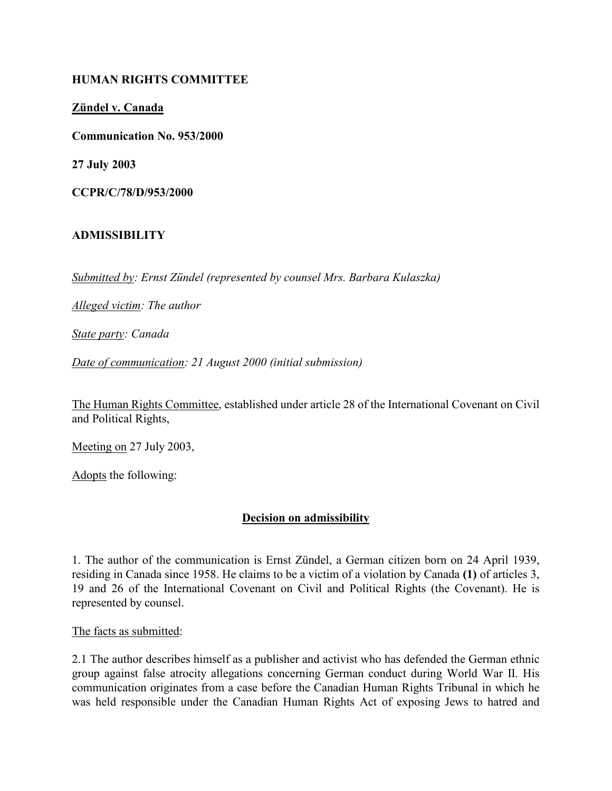### HUMAN RIGHTS COMMITTEE

Zündel v. Canada

Communication No. 953/2000

27 July 2003

CCPR/C/78/D/953/2000

#### ADMISSIBILITY

Submitted by: Ernst Zündel (represented by counsel Mrs. Barbara Kulaszka)

Alleged victim: The author

State party: Canada

Date of communication: 21 August 2000 (initial submission)

The Human Rights Committee, established under article 28 of the International Covenant on Civil and Political Rights,

Meeting on 27 July 2003,

Adopts the following:

#### Decision on admissibility

1. The author of the communication is Ernst Zündel, a German citizen born on 24 April 1939, residing in Canada since 1958. He claims to be a victim of a violation by Canada (1) of articles 3, 19 and 26 of the International Covenant on Civil and Political Rights (the Covenant). He is represented by counsel.

The facts as submitted:

2.1 The author describes himself as a publisher and activist who has defended the German ethnic group against false atrocity allegations concerning German conduct during World War II. His communication originates from a case before the Canadian Human Rights Tribunal in which he was held responsible under the Canadian Human Rights Act of exposing Jews to hatred and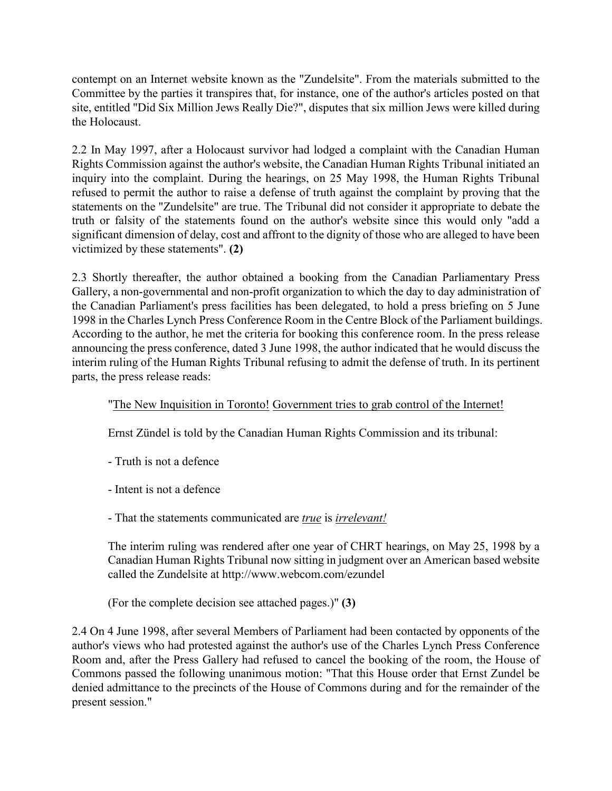contempt on an Internet website known as the "Zundelsite". From the materials submitted to the Committee by the parties it transpires that, for instance, one of the author's articles posted on that site, entitled "Did Six Million Jews Really Die?", disputes that six million Jews were killed during the Holocaust.

2.2 In May 1997, after a Holocaust survivor had lodged a complaint with the Canadian Human Rights Commission against the author's website, the Canadian Human Rights Tribunal initiated an inquiry into the complaint. During the hearings, on 25 May 1998, the Human Rights Tribunal refused to permit the author to raise a defense of truth against the complaint by proving that the statements on the "Zundelsite" are true. The Tribunal did not consider it appropriate to debate the truth or falsity of the statements found on the author's website since this would only "add a significant dimension of delay, cost and affront to the dignity of those who are alleged to have been victimized by these statements". (2)

2.3 Shortly thereafter, the author obtained a booking from the Canadian Parliamentary Press Gallery, a non-governmental and non-profit organization to which the day to day administration of the Canadian Parliament's press facilities has been delegated, to hold a press briefing on 5 June 1998 in the Charles Lynch Press Conference Room in the Centre Block of the Parliament buildings. According to the author, he met the criteria for booking this conference room. In the press release announcing the press conference, dated 3 June 1998, the author indicated that he would discuss the interim ruling of the Human Rights Tribunal refusing to admit the defense of truth. In its pertinent parts, the press release reads:

### "The New Inquisition in Toronto! Government tries to grab control of the Internet!

Ernst Zündel is told by the Canadian Human Rights Commission and its tribunal:

- Truth is not a defence
- Intent is not a defence
- That the statements communicated are true is irrelevant!

The interim ruling was rendered after one year of CHRT hearings, on May 25, 1998 by a Canadian Human Rights Tribunal now sitting in judgment over an American based website called the Zundelsite at http://www.webcom.com/ezundel

(For the complete decision see attached pages.)" (3)

2.4 On 4 June 1998, after several Members of Parliament had been contacted by opponents of the author's views who had protested against the author's use of the Charles Lynch Press Conference Room and, after the Press Gallery had refused to cancel the booking of the room, the House of Commons passed the following unanimous motion: "That this House order that Ernst Zundel be denied admittance to the precincts of the House of Commons during and for the remainder of the present session."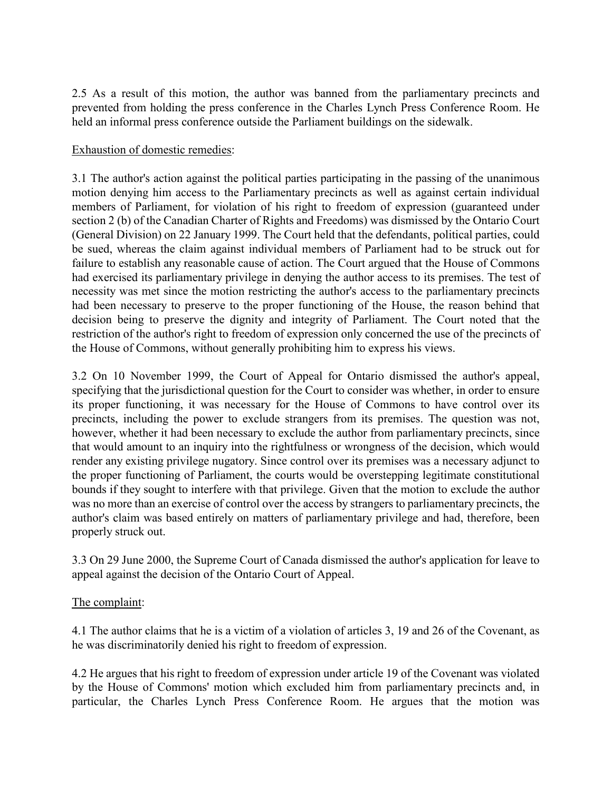2.5 As a result of this motion, the author was banned from the parliamentary precincts and prevented from holding the press conference in the Charles Lynch Press Conference Room. He held an informal press conference outside the Parliament buildings on the sidewalk.

### Exhaustion of domestic remedies:

3.1 The author's action against the political parties participating in the passing of the unanimous motion denying him access to the Parliamentary precincts as well as against certain individual members of Parliament, for violation of his right to freedom of expression (guaranteed under section 2 (b) of the Canadian Charter of Rights and Freedoms) was dismissed by the Ontario Court (General Division) on 22 January 1999. The Court held that the defendants, political parties, could be sued, whereas the claim against individual members of Parliament had to be struck out for failure to establish any reasonable cause of action. The Court argued that the House of Commons had exercised its parliamentary privilege in denying the author access to its premises. The test of necessity was met since the motion restricting the author's access to the parliamentary precincts had been necessary to preserve to the proper functioning of the House, the reason behind that decision being to preserve the dignity and integrity of Parliament. The Court noted that the restriction of the author's right to freedom of expression only concerned the use of the precincts of the House of Commons, without generally prohibiting him to express his views.

3.2 On 10 November 1999, the Court of Appeal for Ontario dismissed the author's appeal, specifying that the jurisdictional question for the Court to consider was whether, in order to ensure its proper functioning, it was necessary for the House of Commons to have control over its precincts, including the power to exclude strangers from its premises. The question was not, however, whether it had been necessary to exclude the author from parliamentary precincts, since that would amount to an inquiry into the rightfulness or wrongness of the decision, which would render any existing privilege nugatory. Since control over its premises was a necessary adjunct to the proper functioning of Parliament, the courts would be overstepping legitimate constitutional bounds if they sought to interfere with that privilege. Given that the motion to exclude the author was no more than an exercise of control over the access by strangers to parliamentary precincts, the author's claim was based entirely on matters of parliamentary privilege and had, therefore, been properly struck out.

3.3 On 29 June 2000, the Supreme Court of Canada dismissed the author's application for leave to appeal against the decision of the Ontario Court of Appeal.

### The complaint:

4.1 The author claims that he is a victim of a violation of articles 3, 19 and 26 of the Covenant, as he was discriminatorily denied his right to freedom of expression.

4.2 He argues that his right to freedom of expression under article 19 of the Covenant was violated by the House of Commons' motion which excluded him from parliamentary precincts and, in particular, the Charles Lynch Press Conference Room. He argues that the motion was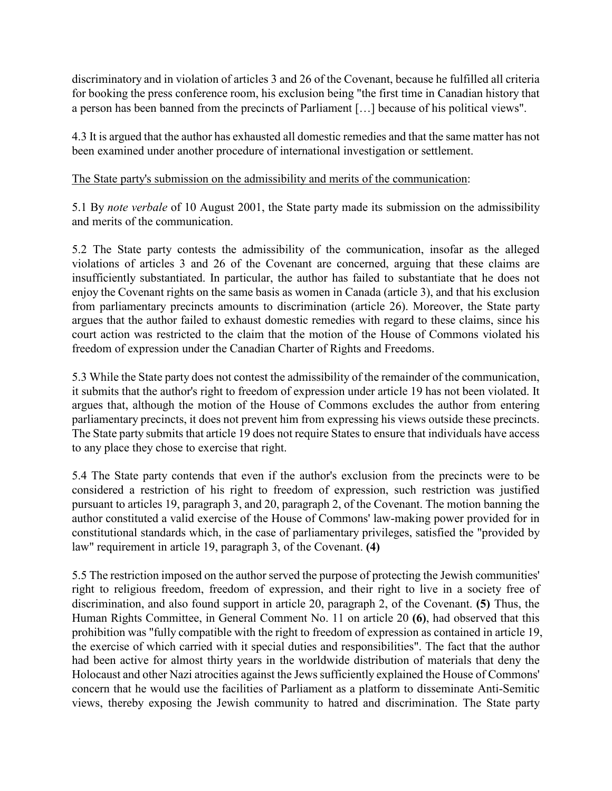discriminatory and in violation of articles 3 and 26 of the Covenant, because he fulfilled all criteria for booking the press conference room, his exclusion being "the first time in Canadian history that a person has been banned from the precincts of Parliament […] because of his political views".

4.3 It is argued that the author has exhausted all domestic remedies and that the same matter has not been examined under another procedure of international investigation or settlement.

The State party's submission on the admissibility and merits of the communication:

5.1 By note verbale of 10 August 2001, the State party made its submission on the admissibility and merits of the communication.

5.2 The State party contests the admissibility of the communication, insofar as the alleged violations of articles 3 and 26 of the Covenant are concerned, arguing that these claims are insufficiently substantiated. In particular, the author has failed to substantiate that he does not enjoy the Covenant rights on the same basis as women in Canada (article 3), and that his exclusion from parliamentary precincts amounts to discrimination (article 26). Moreover, the State party argues that the author failed to exhaust domestic remedies with regard to these claims, since his court action was restricted to the claim that the motion of the House of Commons violated his freedom of expression under the Canadian Charter of Rights and Freedoms.

5.3 While the State party does not contest the admissibility of the remainder of the communication, it submits that the author's right to freedom of expression under article 19 has not been violated. It argues that, although the motion of the House of Commons excludes the author from entering parliamentary precincts, it does not prevent him from expressing his views outside these precincts. The State party submits that article 19 does not require States to ensure that individuals have access to any place they chose to exercise that right.

5.4 The State party contends that even if the author's exclusion from the precincts were to be considered a restriction of his right to freedom of expression, such restriction was justified pursuant to articles 19, paragraph 3, and 20, paragraph 2, of the Covenant. The motion banning the author constituted a valid exercise of the House of Commons' law-making power provided for in constitutional standards which, in the case of parliamentary privileges, satisfied the "provided by law" requirement in article 19, paragraph 3, of the Covenant. (4)

5.5 The restriction imposed on the author served the purpose of protecting the Jewish communities' right to religious freedom, freedom of expression, and their right to live in a society free of discrimination, and also found support in article 20, paragraph 2, of the Covenant. (5) Thus, the Human Rights Committee, in General Comment No. 11 on article 20 (6), had observed that this prohibition was "fully compatible with the right to freedom of expression as contained in article 19, the exercise of which carried with it special duties and responsibilities". The fact that the author had been active for almost thirty years in the worldwide distribution of materials that deny the Holocaust and other Nazi atrocities against the Jews sufficiently explained the House of Commons' concern that he would use the facilities of Parliament as a platform to disseminate Anti-Semitic views, thereby exposing the Jewish community to hatred and discrimination. The State party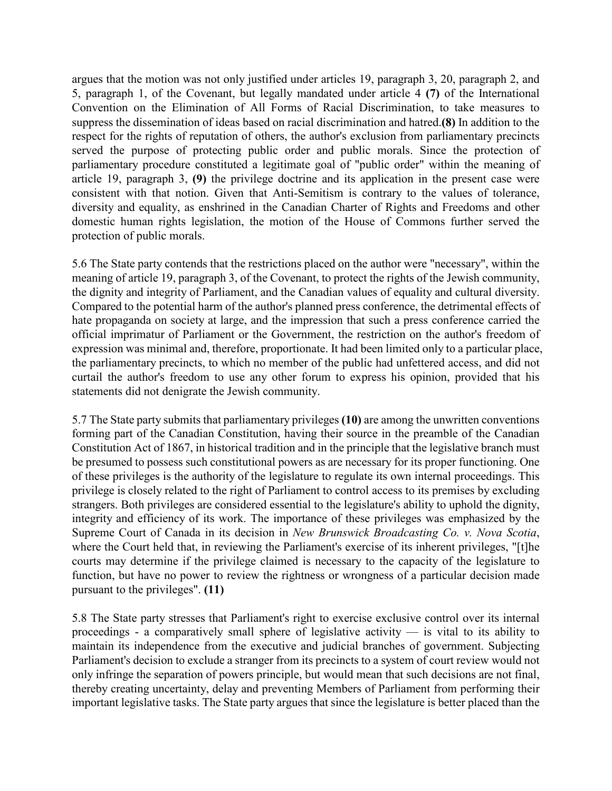argues that the motion was not only justified under articles 19, paragraph 3, 20, paragraph 2, and 5, paragraph 1, of the Covenant, but legally mandated under article 4 (7) of the International Convention on the Elimination of All Forms of Racial Discrimination, to take measures to suppress the dissemination of ideas based on racial discrimination and hatred.(8) In addition to the respect for the rights of reputation of others, the author's exclusion from parliamentary precincts served the purpose of protecting public order and public morals. Since the protection of parliamentary procedure constituted a legitimate goal of "public order" within the meaning of article 19, paragraph 3, (9) the privilege doctrine and its application in the present case were consistent with that notion. Given that Anti-Semitism is contrary to the values of tolerance, diversity and equality, as enshrined in the Canadian Charter of Rights and Freedoms and other domestic human rights legislation, the motion of the House of Commons further served the protection of public morals.

5.6 The State party contends that the restrictions placed on the author were "necessary", within the meaning of article 19, paragraph 3, of the Covenant, to protect the rights of the Jewish community, the dignity and integrity of Parliament, and the Canadian values of equality and cultural diversity. Compared to the potential harm of the author's planned press conference, the detrimental effects of hate propaganda on society at large, and the impression that such a press conference carried the official imprimatur of Parliament or the Government, the restriction on the author's freedom of expression was minimal and, therefore, proportionate. It had been limited only to a particular place, the parliamentary precincts, to which no member of the public had unfettered access, and did not curtail the author's freedom to use any other forum to express his opinion, provided that his statements did not denigrate the Jewish community.

5.7 The State party submits that parliamentary privileges (10) are among the unwritten conventions forming part of the Canadian Constitution, having their source in the preamble of the Canadian Constitution Act of 1867, in historical tradition and in the principle that the legislative branch must be presumed to possess such constitutional powers as are necessary for its proper functioning. One of these privileges is the authority of the legislature to regulate its own internal proceedings. This privilege is closely related to the right of Parliament to control access to its premises by excluding strangers. Both privileges are considered essential to the legislature's ability to uphold the dignity, integrity and efficiency of its work. The importance of these privileges was emphasized by the Supreme Court of Canada in its decision in New Brunswick Broadcasting Co. v. Nova Scotia, where the Court held that, in reviewing the Parliament's exercise of its inherent privileges, "[t]he courts may determine if the privilege claimed is necessary to the capacity of the legislature to function, but have no power to review the rightness or wrongness of a particular decision made pursuant to the privileges". (11)

5.8 The State party stresses that Parliament's right to exercise exclusive control over its internal proceedings - a comparatively small sphere of legislative activity  $-$  is vital to its ability to maintain its independence from the executive and judicial branches of government. Subjecting Parliament's decision to exclude a stranger from its precincts to a system of court review would not only infringe the separation of powers principle, but would mean that such decisions are not final, thereby creating uncertainty, delay and preventing Members of Parliament from performing their important legislative tasks. The State party argues that since the legislature is better placed than the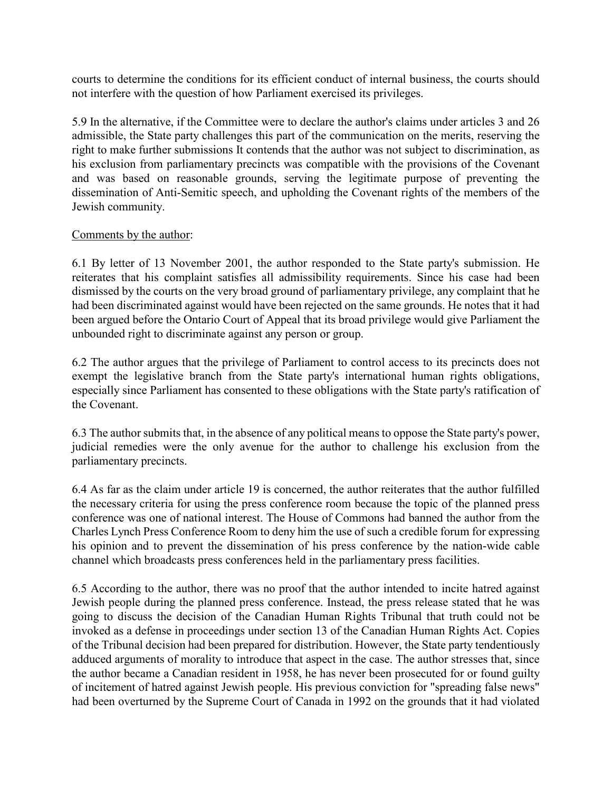courts to determine the conditions for its efficient conduct of internal business, the courts should not interfere with the question of how Parliament exercised its privileges.

5.9 In the alternative, if the Committee were to declare the author's claims under articles 3 and 26 admissible, the State party challenges this part of the communication on the merits, reserving the right to make further submissions It contends that the author was not subject to discrimination, as his exclusion from parliamentary precincts was compatible with the provisions of the Covenant and was based on reasonable grounds, serving the legitimate purpose of preventing the dissemination of Anti-Semitic speech, and upholding the Covenant rights of the members of the Jewish community.

#### Comments by the author:

6.1 By letter of 13 November 2001, the author responded to the State party's submission. He reiterates that his complaint satisfies all admissibility requirements. Since his case had been dismissed by the courts on the very broad ground of parliamentary privilege, any complaint that he had been discriminated against would have been rejected on the same grounds. He notes that it had been argued before the Ontario Court of Appeal that its broad privilege would give Parliament the unbounded right to discriminate against any person or group.

6.2 The author argues that the privilege of Parliament to control access to its precincts does not exempt the legislative branch from the State party's international human rights obligations, especially since Parliament has consented to these obligations with the State party's ratification of the Covenant.

6.3 The author submits that, in the absence of any political means to oppose the State party's power, judicial remedies were the only avenue for the author to challenge his exclusion from the parliamentary precincts.

6.4 As far as the claim under article 19 is concerned, the author reiterates that the author fulfilled the necessary criteria for using the press conference room because the topic of the planned press conference was one of national interest. The House of Commons had banned the author from the Charles Lynch Press Conference Room to deny him the use of such a credible forum for expressing his opinion and to prevent the dissemination of his press conference by the nation-wide cable channel which broadcasts press conferences held in the parliamentary press facilities.

6.5 According to the author, there was no proof that the author intended to incite hatred against Jewish people during the planned press conference. Instead, the press release stated that he was going to discuss the decision of the Canadian Human Rights Tribunal that truth could not be invoked as a defense in proceedings under section 13 of the Canadian Human Rights Act. Copies of the Tribunal decision had been prepared for distribution. However, the State party tendentiously adduced arguments of morality to introduce that aspect in the case. The author stresses that, since the author became a Canadian resident in 1958, he has never been prosecuted for or found guilty of incitement of hatred against Jewish people. His previous conviction for "spreading false news" had been overturned by the Supreme Court of Canada in 1992 on the grounds that it had violated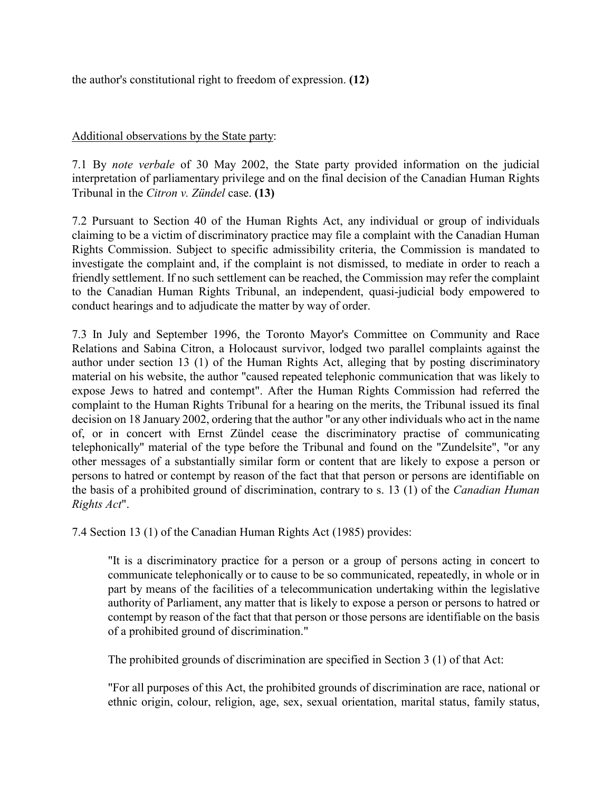the author's constitutional right to freedom of expression. (12)

## Additional observations by the State party:

7.1 By note verbale of 30 May 2002, the State party provided information on the judicial interpretation of parliamentary privilege and on the final decision of the Canadian Human Rights Tribunal in the *Citron v. Zündel* case. (13)

7.2 Pursuant to Section 40 of the Human Rights Act, any individual or group of individuals claiming to be a victim of discriminatory practice may file a complaint with the Canadian Human Rights Commission. Subject to specific admissibility criteria, the Commission is mandated to investigate the complaint and, if the complaint is not dismissed, to mediate in order to reach a friendly settlement. If no such settlement can be reached, the Commission may refer the complaint to the Canadian Human Rights Tribunal, an independent, quasi-judicial body empowered to conduct hearings and to adjudicate the matter by way of order.

7.3 In July and September 1996, the Toronto Mayor's Committee on Community and Race Relations and Sabina Citron, a Holocaust survivor, lodged two parallel complaints against the author under section 13 (1) of the Human Rights Act, alleging that by posting discriminatory material on his website, the author "caused repeated telephonic communication that was likely to expose Jews to hatred and contempt". After the Human Rights Commission had referred the complaint to the Human Rights Tribunal for a hearing on the merits, the Tribunal issued its final decision on 18 January 2002, ordering that the author "or any other individuals who act in the name of, or in concert with Ernst Zündel cease the discriminatory practise of communicating telephonically" material of the type before the Tribunal and found on the "Zundelsite", "or any other messages of a substantially similar form or content that are likely to expose a person or persons to hatred or contempt by reason of the fact that that person or persons are identifiable on the basis of a prohibited ground of discrimination, contrary to s. 13 (1) of the Canadian Human Rights Act".

7.4 Section 13 (1) of the Canadian Human Rights Act (1985) provides:

"It is a discriminatory practice for a person or a group of persons acting in concert to communicate telephonically or to cause to be so communicated, repeatedly, in whole or in part by means of the facilities of a telecommunication undertaking within the legislative authority of Parliament, any matter that is likely to expose a person or persons to hatred or contempt by reason of the fact that that person or those persons are identifiable on the basis of a prohibited ground of discrimination."

The prohibited grounds of discrimination are specified in Section 3 (1) of that Act:

"For all purposes of this Act, the prohibited grounds of discrimination are race, national or ethnic origin, colour, religion, age, sex, sexual orientation, marital status, family status,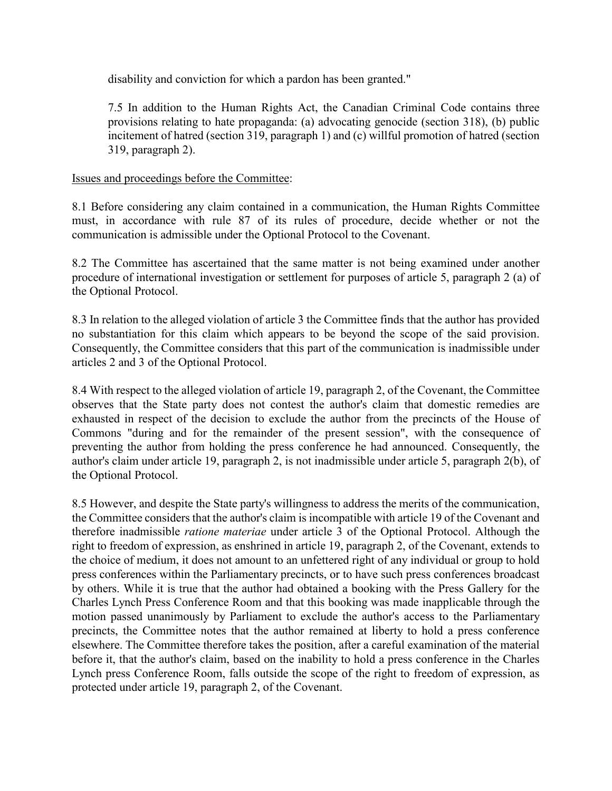disability and conviction for which a pardon has been granted."

7.5 In addition to the Human Rights Act, the Canadian Criminal Code contains three provisions relating to hate propaganda: (a) advocating genocide (section 318), (b) public incitement of hatred (section 319, paragraph 1) and (c) willful promotion of hatred (section 319, paragraph 2).

# Issues and proceedings before the Committee:

8.1 Before considering any claim contained in a communication, the Human Rights Committee must, in accordance with rule 87 of its rules of procedure, decide whether or not the communication is admissible under the Optional Protocol to the Covenant.

8.2 The Committee has ascertained that the same matter is not being examined under another procedure of international investigation or settlement for purposes of article 5, paragraph 2 (a) of the Optional Protocol.

8.3 In relation to the alleged violation of article 3 the Committee finds that the author has provided no substantiation for this claim which appears to be beyond the scope of the said provision. Consequently, the Committee considers that this part of the communication is inadmissible under articles 2 and 3 of the Optional Protocol.

8.4 With respect to the alleged violation of article 19, paragraph 2, of the Covenant, the Committee observes that the State party does not contest the author's claim that domestic remedies are exhausted in respect of the decision to exclude the author from the precincts of the House of Commons "during and for the remainder of the present session", with the consequence of preventing the author from holding the press conference he had announced. Consequently, the author's claim under article 19, paragraph 2, is not inadmissible under article 5, paragraph 2(b), of the Optional Protocol.

8.5 However, and despite the State party's willingness to address the merits of the communication, the Committee considers that the author's claim is incompatible with article 19 of the Covenant and therefore inadmissible ratione materiae under article 3 of the Optional Protocol. Although the right to freedom of expression, as enshrined in article 19, paragraph 2, of the Covenant, extends to the choice of medium, it does not amount to an unfettered right of any individual or group to hold press conferences within the Parliamentary precincts, or to have such press conferences broadcast by others. While it is true that the author had obtained a booking with the Press Gallery for the Charles Lynch Press Conference Room and that this booking was made inapplicable through the motion passed unanimously by Parliament to exclude the author's access to the Parliamentary precincts, the Committee notes that the author remained at liberty to hold a press conference elsewhere. The Committee therefore takes the position, after a careful examination of the material before it, that the author's claim, based on the inability to hold a press conference in the Charles Lynch press Conference Room, falls outside the scope of the right to freedom of expression, as protected under article 19, paragraph 2, of the Covenant.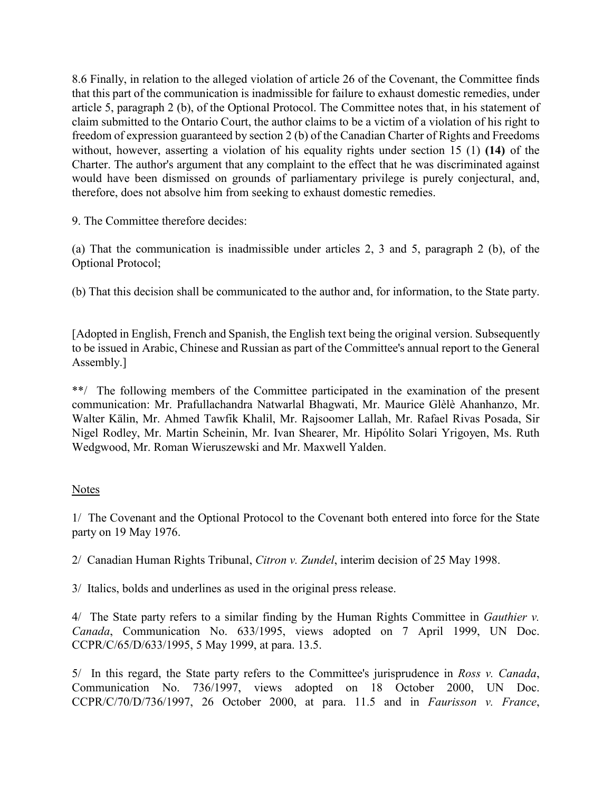8.6 Finally, in relation to the alleged violation of article 26 of the Covenant, the Committee finds that this part of the communication is inadmissible for failure to exhaust domestic remedies, under article 5, paragraph 2 (b), of the Optional Protocol. The Committee notes that, in his statement of claim submitted to the Ontario Court, the author claims to be a victim of a violation of his right to freedom of expression guaranteed by section 2 (b) of the Canadian Charter of Rights and Freedoms without, however, asserting a violation of his equality rights under section 15 (1) (14) of the Charter. The author's argument that any complaint to the effect that he was discriminated against would have been dismissed on grounds of parliamentary privilege is purely conjectural, and, therefore, does not absolve him from seeking to exhaust domestic remedies.

9. The Committee therefore decides:

(a) That the communication is inadmissible under articles 2, 3 and 5, paragraph 2 (b), of the Optional Protocol;

(b) That this decision shall be communicated to the author and, for information, to the State party.

[Adopted in English, French and Spanish, the English text being the original version. Subsequently to be issued in Arabic, Chinese and Russian as part of the Committee's annual report to the General Assembly.]

\*\*/ The following members of the Committee participated in the examination of the present communication: Mr. Prafullachandra Natwarlal Bhagwati, Mr. Maurice Glèlè Ahanhanzo, Mr. Walter Kälin, Mr. Ahmed Tawfik Khalil, Mr. Rajsoomer Lallah, Mr. Rafael Rivas Posada, Sir Nigel Rodley, Mr. Martin Scheinin, Mr. Ivan Shearer, Mr. Hipólito Solari Yrigoyen, Ms. Ruth Wedgwood, Mr. Roman Wieruszewski and Mr. Maxwell Yalden.

### Notes

1/ The Covenant and the Optional Protocol to the Covenant both entered into force for the State party on 19 May 1976.

2/ Canadian Human Rights Tribunal, Citron v. Zundel, interim decision of 25 May 1998.

3/ Italics, bolds and underlines as used in the original press release.

4/ The State party refers to a similar finding by the Human Rights Committee in *Gauthier v*. Canada, Communication No. 633/1995, views adopted on 7 April 1999, UN Doc. CCPR/C/65/D/633/1995, 5 May 1999, at para. 13.5.

 $5/$  In this regard, the State party refers to the Committee's jurisprudence in Ross v. Canada, Communication No. 736/1997, views adopted on 18 October 2000, UN Doc. CCPR/C/70/D/736/1997, 26 October 2000, at para. 11.5 and in Faurisson v. France,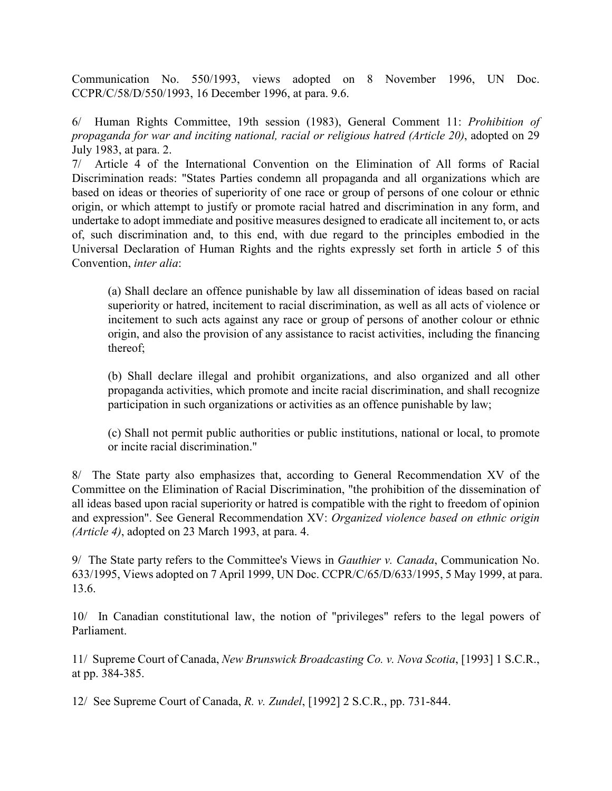Communication No. 550/1993, views adopted on 8 November 1996, UN Doc. CCPR/C/58/D/550/1993, 16 December 1996, at para. 9.6.

6/ Human Rights Committee, 19th session (1983), General Comment 11: Prohibition of propaganda for war and inciting national, racial or religious hatred (Article 20), adopted on 29 July 1983, at para. 2.

7/ Article 4 of the International Convention on the Elimination of All forms of Racial Discrimination reads: "States Parties condemn all propaganda and all organizations which are based on ideas or theories of superiority of one race or group of persons of one colour or ethnic origin, or which attempt to justify or promote racial hatred and discrimination in any form, and undertake to adopt immediate and positive measures designed to eradicate all incitement to, or acts of, such discrimination and, to this end, with due regard to the principles embodied in the Universal Declaration of Human Rights and the rights expressly set forth in article 5 of this Convention, inter alia:

(a) Shall declare an offence punishable by law all dissemination of ideas based on racial superiority or hatred, incitement to racial discrimination, as well as all acts of violence or incitement to such acts against any race or group of persons of another colour or ethnic origin, and also the provision of any assistance to racist activities, including the financing thereof;

(b) Shall declare illegal and prohibit organizations, and also organized and all other propaganda activities, which promote and incite racial discrimination, and shall recognize participation in such organizations or activities as an offence punishable by law;

(c) Shall not permit public authorities or public institutions, national or local, to promote or incite racial discrimination."

8/ The State party also emphasizes that, according to General Recommendation XV of the Committee on the Elimination of Racial Discrimination, "the prohibition of the dissemination of all ideas based upon racial superiority or hatred is compatible with the right to freedom of opinion and expression". See General Recommendation XV: Organized violence based on ethnic origin (Article 4), adopted on 23 March 1993, at para. 4.

9/ The State party refers to the Committee's Views in *Gauthier v. Canada*, Communication No. 633/1995, Views adopted on 7 April 1999, UN Doc. CCPR/C/65/D/633/1995, 5 May 1999, at para. 13.6.

10/ In Canadian constitutional law, the notion of "privileges" refers to the legal powers of Parliament.

11/ Supreme Court of Canada, New Brunswick Broadcasting Co. v. Nova Scotia, [1993] 1 S.C.R., at pp. 384-385.

12/ See Supreme Court of Canada, R. v. Zundel, [1992] 2 S.C.R., pp. 731-844.